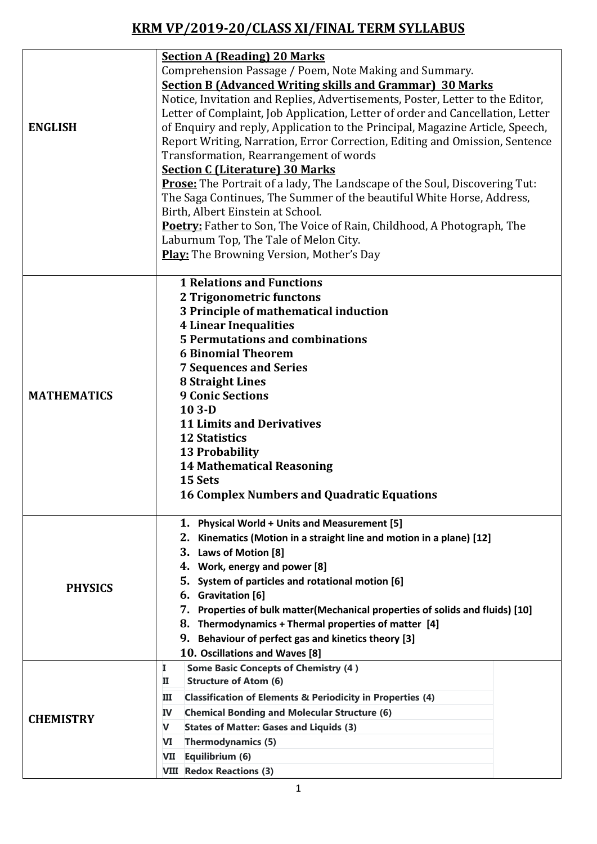## **KRM VP/2019-20/CLASS XI/FINAL TERM SYLLABUS**

| <b>ENGLISH</b>     | <b>Section A (Reading) 20 Marks</b><br>Comprehension Passage / Poem, Note Making and Summary.<br><b>Section B (Advanced Writing skills and Grammar) 30 Marks</b><br>Notice, Invitation and Replies, Advertisements, Poster, Letter to the Editor,<br>Letter of Complaint, Job Application, Letter of order and Cancellation, Letter<br>of Enquiry and reply, Application to the Principal, Magazine Article, Speech,<br>Report Writing, Narration, Error Correction, Editing and Omission, Sentence<br>Transformation, Rearrangement of words<br><b>Section C (Literature) 30 Marks</b><br><b>Prose:</b> The Portrait of a lady, The Landscape of the Soul, Discovering Tut: |
|--------------------|------------------------------------------------------------------------------------------------------------------------------------------------------------------------------------------------------------------------------------------------------------------------------------------------------------------------------------------------------------------------------------------------------------------------------------------------------------------------------------------------------------------------------------------------------------------------------------------------------------------------------------------------------------------------------|
|                    | The Saga Continues, The Summer of the beautiful White Horse, Address,<br>Birth, Albert Einstein at School.<br><b>Poetry:</b> Father to Son, The Voice of Rain, Childhood, A Photograph, The<br>Laburnum Top, The Tale of Melon City.<br><b>Play:</b> The Browning Version, Mother's Day                                                                                                                                                                                                                                                                                                                                                                                      |
| <b>MATHEMATICS</b> | <b>1 Relations and Functions</b><br>2 Trigonometric functons<br>3 Principle of mathematical induction<br><b>4 Linear Inequalities</b><br><b>5 Permutations and combinations</b><br><b>6 Binomial Theorem</b><br><b>7 Sequences and Series</b><br><b>8 Straight Lines</b><br><b>9 Conic Sections</b><br>$103-D$<br><b>11 Limits and Derivatives</b><br><b>12 Statistics</b><br><b>13 Probability</b><br><b>14 Mathematical Reasoning</b><br>15 Sets<br><b>16 Complex Numbers and Quadratic Equations</b>                                                                                                                                                                      |
| <b>PHYSICS</b>     | <b>Physical World + Units and Measurement [5]</b><br>1.<br>2. Kinematics (Motion in a straight line and motion in a plane) [12]<br>3.<br>Laws of Motion [8]<br>Work, energy and power [8]<br>4.<br>5.<br>System of particles and rotational motion [6]<br><b>Gravitation</b> [6]<br>6.<br>7. Properties of bulk matter(Mechanical properties of solids and fluids) [10]<br>8.<br>Thermodynamics + Thermal properties of matter [4]<br>Behaviour of perfect gas and kinetics theory [3]<br>9.<br>10. Oscillations and Waves [8]                                                                                                                                               |
| <b>CHEMISTRY</b>   | <b>Some Basic Concepts of Chemistry (4)</b><br>Ι.<br><b>Structure of Atom (6)</b><br>п<br><b>Classification of Elements &amp; Periodicity in Properties (4)</b><br>ш<br><b>Chemical Bonding and Molecular Structure (6)</b><br><b>IV</b><br>V<br><b>States of Matter: Gases and Liquids (3)</b><br><b>Thermodynamics (5)</b><br>VI<br>Equilibrium (6)<br>VII<br><b>VIII Redox Reactions (3)</b>                                                                                                                                                                                                                                                                              |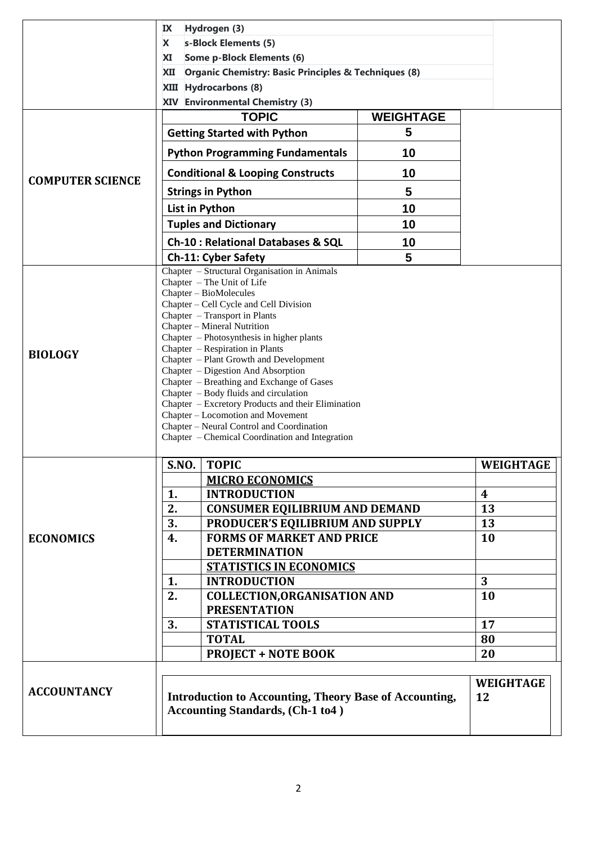|                         | IX                                                                                                                                                                                                                                                                                                                                                                                                                                                                                                                                                                                                              | Hydrogen (3)                                                                                             |                  |                        |  |  |
|-------------------------|-----------------------------------------------------------------------------------------------------------------------------------------------------------------------------------------------------------------------------------------------------------------------------------------------------------------------------------------------------------------------------------------------------------------------------------------------------------------------------------------------------------------------------------------------------------------------------------------------------------------|----------------------------------------------------------------------------------------------------------|------------------|------------------------|--|--|
|                         | s-Block Elements (5)<br>X                                                                                                                                                                                                                                                                                                                                                                                                                                                                                                                                                                                       |                                                                                                          |                  |                        |  |  |
|                         | <b>XI</b><br><b>Some p-Block Elements (6)</b>                                                                                                                                                                                                                                                                                                                                                                                                                                                                                                                                                                   |                                                                                                          |                  |                        |  |  |
|                         | Organic Chemistry: Basic Principles & Techniques (8)<br>XII                                                                                                                                                                                                                                                                                                                                                                                                                                                                                                                                                     |                                                                                                          |                  |                        |  |  |
|                         | <b>Hydrocarbons (8)</b><br>XIII<br>XIV Environmental Chemistry (3)                                                                                                                                                                                                                                                                                                                                                                                                                                                                                                                                              |                                                                                                          |                  |                        |  |  |
|                         |                                                                                                                                                                                                                                                                                                                                                                                                                                                                                                                                                                                                                 | <b>TOPIC</b>                                                                                             | <b>WEIGHTAGE</b> |                        |  |  |
|                         |                                                                                                                                                                                                                                                                                                                                                                                                                                                                                                                                                                                                                 | <b>Getting Started with Python</b>                                                                       | 5                |                        |  |  |
|                         |                                                                                                                                                                                                                                                                                                                                                                                                                                                                                                                                                                                                                 |                                                                                                          |                  |                        |  |  |
|                         |                                                                                                                                                                                                                                                                                                                                                                                                                                                                                                                                                                                                                 | <b>Python Programming Fundamentals</b><br>10                                                             |                  |                        |  |  |
| <b>COMPUTER SCIENCE</b> | 10<br><b>Conditional &amp; Looping Constructs</b>                                                                                                                                                                                                                                                                                                                                                                                                                                                                                                                                                               |                                                                                                          |                  |                        |  |  |
|                         |                                                                                                                                                                                                                                                                                                                                                                                                                                                                                                                                                                                                                 | <b>Strings in Python</b>                                                                                 | 5                |                        |  |  |
|                         |                                                                                                                                                                                                                                                                                                                                                                                                                                                                                                                                                                                                                 | List in Python                                                                                           | 10               |                        |  |  |
|                         |                                                                                                                                                                                                                                                                                                                                                                                                                                                                                                                                                                                                                 | <b>Tuples and Dictionary</b>                                                                             | 10               |                        |  |  |
|                         |                                                                                                                                                                                                                                                                                                                                                                                                                                                                                                                                                                                                                 | <b>Ch-10: Relational Databases &amp; SQL</b>                                                             | 10               |                        |  |  |
|                         |                                                                                                                                                                                                                                                                                                                                                                                                                                                                                                                                                                                                                 | <b>Ch-11: Cyber Safety</b>                                                                               | 5                |                        |  |  |
| <b>BIOLOGY</b>          | Chapter - The Unit of Life<br>Chapter - BioMolecules<br>Chapter - Cell Cycle and Cell Division<br>Chapter - Transport in Plants<br>Chapter - Mineral Nutrition<br>Chapter - Photosynthesis in higher plants<br>Chapter – Respiration in Plants<br>Chapter - Plant Growth and Development<br>Chapter - Digestion And Absorption<br>Chapter - Breathing and Exchange of Gases<br>Chapter - Body fluids and circulation<br>Chapter – Excretory Products and their Elimination<br>Chapter - Locomotion and Movement<br>Chapter - Neural Control and Coordination<br>Chapter – Chemical Coordination and Integration |                                                                                                          |                  |                        |  |  |
|                         |                                                                                                                                                                                                                                                                                                                                                                                                                                                                                                                                                                                                                 | S.NO. TOPIC                                                                                              |                  | WEIGHTAGE              |  |  |
|                         |                                                                                                                                                                                                                                                                                                                                                                                                                                                                                                                                                                                                                 | <b>MICRO ECONOMICS</b>                                                                                   |                  |                        |  |  |
|                         | 1.                                                                                                                                                                                                                                                                                                                                                                                                                                                                                                                                                                                                              | 4                                                                                                        |                  |                        |  |  |
|                         | 2.                                                                                                                                                                                                                                                                                                                                                                                                                                                                                                                                                                                                              | <b>CONSUMER EQILIBRIUM AND DEMAND</b>                                                                    |                  |                        |  |  |
|                         |                                                                                                                                                                                                                                                                                                                                                                                                                                                                                                                                                                                                                 | PRODUCER'S EQILIBRIUM AND SUPPLY<br>3.<br><b>FORMS OF MARKET AND PRICE</b>                               |                  |                        |  |  |
| <b>ECONOMICS</b>        | 4.                                                                                                                                                                                                                                                                                                                                                                                                                                                                                                                                                                                                              | 10                                                                                                       |                  |                        |  |  |
|                         |                                                                                                                                                                                                                                                                                                                                                                                                                                                                                                                                                                                                                 |                                                                                                          |                  |                        |  |  |
|                         | 1.                                                                                                                                                                                                                                                                                                                                                                                                                                                                                                                                                                                                              | 3                                                                                                        |                  |                        |  |  |
|                         | 2.                                                                                                                                                                                                                                                                                                                                                                                                                                                                                                                                                                                                              | <b>INTRODUCTION</b><br><b>COLLECTION, ORGANISATION AND</b>                                               | 10               |                        |  |  |
|                         |                                                                                                                                                                                                                                                                                                                                                                                                                                                                                                                                                                                                                 |                                                                                                          |                  |                        |  |  |
|                         | 3.                                                                                                                                                                                                                                                                                                                                                                                                                                                                                                                                                                                                              | 17                                                                                                       |                  |                        |  |  |
|                         |                                                                                                                                                                                                                                                                                                                                                                                                                                                                                                                                                                                                                 | 80                                                                                                       |                  |                        |  |  |
|                         |                                                                                                                                                                                                                                                                                                                                                                                                                                                                                                                                                                                                                 | <b>PROJECT + NOTE BOOK</b>                                                                               | 20               |                        |  |  |
| <b>ACCOUNTANCY</b>      |                                                                                                                                                                                                                                                                                                                                                                                                                                                                                                                                                                                                                 | <b>Introduction to Accounting, Theory Base of Accounting,</b><br><b>Accounting Standards, (Ch-1 to4)</b> |                  | <b>WEIGHTAGE</b><br>12 |  |  |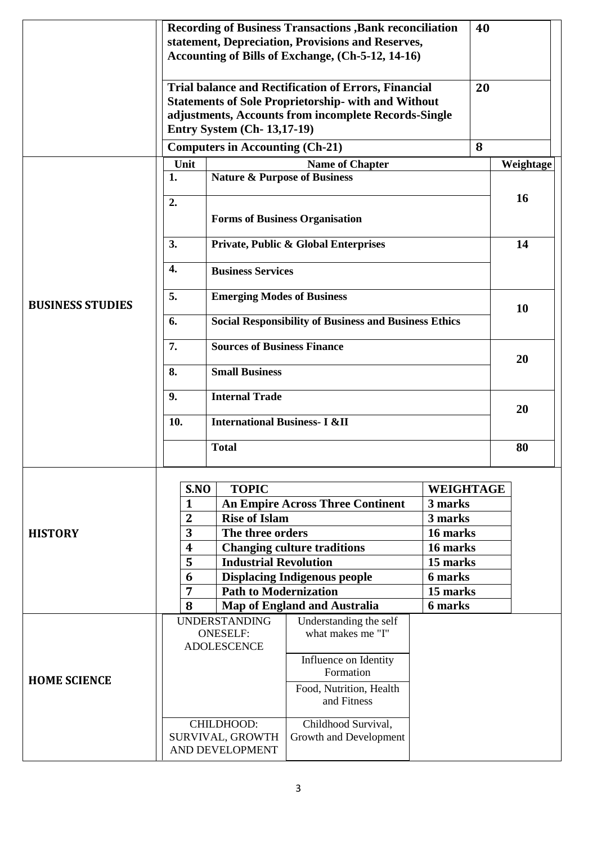|                         | <b>Recording of Business Transactions , Bank reconciliation</b><br>statement, Depreciation, Provisions and Reserves,<br>Accounting of Bills of Exchange, (Ch-5-12, 14-16)                                              | 40                   |           |  |
|-------------------------|------------------------------------------------------------------------------------------------------------------------------------------------------------------------------------------------------------------------|----------------------|-----------|--|
|                         | <b>Trial balance and Rectification of Errors, Financial</b><br><b>Statements of Sole Proprietorship- with and Without</b><br>adjustments, Accounts from incomplete Records-Single<br><b>Entry System (Ch-13,17-19)</b> | 20                   |           |  |
|                         | <b>Computers in Accounting (Ch-21)</b>                                                                                                                                                                                 | 8                    |           |  |
|                         | Unit<br><b>Name of Chapter</b>                                                                                                                                                                                         |                      | Weightage |  |
|                         | <b>Nature &amp; Purpose of Business</b><br>1.<br>2.<br><b>Forms of Business Organisation</b>                                                                                                                           |                      | 16        |  |
|                         | 3.<br>Private, Public & Global Enterprises                                                                                                                                                                             |                      | 14        |  |
|                         | 4.<br><b>Business Services</b>                                                                                                                                                                                         |                      |           |  |
| <b>BUSINESS STUDIES</b> | 5.<br><b>Emerging Modes of Business</b>                                                                                                                                                                                |                      | 10        |  |
|                         | <b>Social Responsibility of Business and Business Ethics</b><br>6.                                                                                                                                                     |                      |           |  |
|                         | <b>Sources of Business Finance</b><br>7.                                                                                                                                                                               |                      | 20        |  |
|                         | <b>Small Business</b><br>8.                                                                                                                                                                                            |                      |           |  |
|                         | <b>Internal Trade</b><br>9.                                                                                                                                                                                            | 20                   |           |  |
|                         | <b>International Business- I &amp;II</b><br>10.                                                                                                                                                                        |                      |           |  |
|                         | <b>Total</b>                                                                                                                                                                                                           |                      |           |  |
|                         | <b>TOPIC</b><br>S.NO                                                                                                                                                                                                   | WEIGHTAGE            |           |  |
|                         | <b>An Empire Across Three Continent</b><br>$\mathbf{1}$                                                                                                                                                                | 3 marks              |           |  |
|                         | <b>Rise of Islam</b><br>$\mathbf{2}$                                                                                                                                                                                   | 3 marks              |           |  |
| <b>HISTORY</b>          | 3<br>The three orders<br><b>Changing culture traditions</b><br>4                                                                                                                                                       | 16 marks<br>16 marks |           |  |
|                         | 5<br><b>Industrial Revolution</b>                                                                                                                                                                                      | 15 marks             |           |  |
|                         | <b>Displacing Indigenous people</b><br>6                                                                                                                                                                               | 6 marks              |           |  |
|                         | <b>Path to Modernization</b><br>$\overline{7}$                                                                                                                                                                         | 15 marks             |           |  |
|                         | <b>Map of England and Australia</b><br>8                                                                                                                                                                               | 6 marks              |           |  |
| <b>HOME SCIENCE</b>     | <b>UNDERSTANDING</b><br>Understanding the self<br>what makes me "I"<br><b>ONESELF:</b><br><b>ADOLESCENCE</b>                                                                                                           |                      |           |  |
|                         | Influence on Identity<br>Formation                                                                                                                                                                                     |                      |           |  |
|                         | Food, Nutrition, Health<br>and Fitness                                                                                                                                                                                 |                      |           |  |
|                         | CHILDHOOD:<br>Childhood Survival,<br>SURVIVAL, GROWTH<br>Growth and Development<br>AND DEVELOPMENT                                                                                                                     |                      |           |  |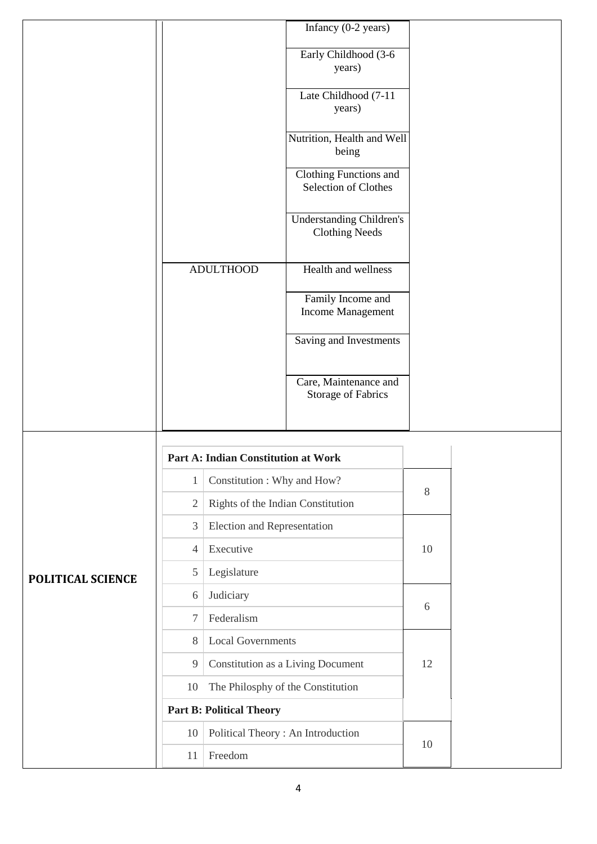|                   |                                            |                                            | Infancy $(0-2 \text{ years})$                            |    |  |
|-------------------|--------------------------------------------|--------------------------------------------|----------------------------------------------------------|----|--|
|                   |                                            |                                            | Early Childhood (3-6<br>years)                           |    |  |
|                   |                                            |                                            | Late Childhood (7-11<br>years)                           |    |  |
|                   |                                            |                                            | Nutrition, Health and Well<br>being                      |    |  |
|                   |                                            |                                            | Clothing Functions and<br>Selection of Clothes           |    |  |
|                   |                                            |                                            | <b>Understanding Children's</b><br><b>Clothing Needs</b> |    |  |
|                   |                                            | <b>ADULTHOOD</b>                           | Health and wellness                                      |    |  |
|                   |                                            |                                            | Family Income and<br>Income Management                   |    |  |
|                   |                                            |                                            | Saving and Investments                                   |    |  |
|                   |                                            |                                            | Care, Maintenance and<br>Storage of Fabrics              |    |  |
|                   |                                            | <b>Part A: Indian Constitution at Work</b> |                                                          |    |  |
|                   | Constitution: Why and How?<br>$\mathbf{1}$ |                                            |                                                          |    |  |
|                   | 2                                          | Rights of the Indian Constitution          |                                                          | 8  |  |
|                   | 3                                          | Election and Representation                |                                                          |    |  |
|                   | $\overline{4}$                             | Executive                                  |                                                          | 10 |  |
| POLITICAL SCIENCE | 5                                          | Legislature                                |                                                          |    |  |
|                   | 6                                          | Judiciary                                  |                                                          | 6  |  |
|                   | 7                                          | Federalism                                 |                                                          |    |  |
|                   | 8                                          | <b>Local Governments</b>                   |                                                          |    |  |
|                   | 9                                          |                                            | Constitution as a Living Document                        | 12 |  |
|                   | 10                                         | The Philosphy of the Constitution          |                                                          |    |  |
|                   |                                            | <b>Part B: Political Theory</b>            |                                                          |    |  |
|                   | Political Theory: An Introduction<br>10    |                                            |                                                          | 10 |  |
|                   | 11                                         | Freedom                                    |                                                          |    |  |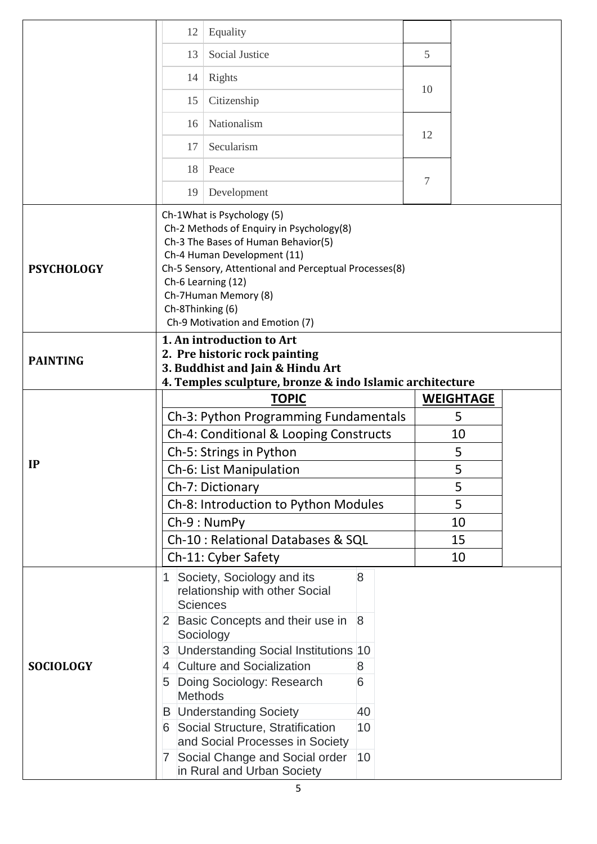|                                                                                                                                                                               | 12                                                                                                                                                                                                                                                                                                         | Equality                                                     |              |  |    |                  |  |  |
|-------------------------------------------------------------------------------------------------------------------------------------------------------------------------------|------------------------------------------------------------------------------------------------------------------------------------------------------------------------------------------------------------------------------------------------------------------------------------------------------------|--------------------------------------------------------------|--------------|--|----|------------------|--|--|
|                                                                                                                                                                               | 13                                                                                                                                                                                                                                                                                                         | Social Justice                                               |              |  | 5  |                  |  |  |
|                                                                                                                                                                               | 14                                                                                                                                                                                                                                                                                                         | Rights                                                       |              |  |    |                  |  |  |
|                                                                                                                                                                               | 15                                                                                                                                                                                                                                                                                                         | Citizenship                                                  |              |  | 10 |                  |  |  |
|                                                                                                                                                                               |                                                                                                                                                                                                                                                                                                            |                                                              |              |  |    |                  |  |  |
|                                                                                                                                                                               | 16                                                                                                                                                                                                                                                                                                         | Nationalism                                                  |              |  | 12 |                  |  |  |
|                                                                                                                                                                               | 17                                                                                                                                                                                                                                                                                                         | Secularism                                                   |              |  |    |                  |  |  |
|                                                                                                                                                                               | 18                                                                                                                                                                                                                                                                                                         | Peace                                                        |              |  |    |                  |  |  |
|                                                                                                                                                                               | 19                                                                                                                                                                                                                                                                                                         | Development                                                  |              |  | 7  |                  |  |  |
| <b>PSYCHOLOGY</b>                                                                                                                                                             | Ch-1What is Psychology (5)<br>Ch-2 Methods of Enquiry in Psychology(8)<br>Ch-3 The Bases of Human Behavior(5)<br>Ch-4 Human Development (11)<br>Ch-5 Sensory, Attentional and Perceptual Processes(8)<br>Ch-6 Learning (12)<br>Ch-7Human Memory (8)<br>Ch-8Thinking (6)<br>Ch-9 Motivation and Emotion (7) |                                                              |              |  |    |                  |  |  |
| 1. An introduction to Art<br>2. Pre historic rock painting<br><b>PAINTING</b><br>3. Buddhist and Jain & Hindu Art<br>4. Temples sculpture, bronze & indo Islamic architecture |                                                                                                                                                                                                                                                                                                            |                                                              |              |  |    |                  |  |  |
|                                                                                                                                                                               |                                                                                                                                                                                                                                                                                                            | <b>TOPIC</b>                                                 |              |  |    | <b>WEIGHTAGE</b> |  |  |
|                                                                                                                                                                               | Ch-3: Python Programming Fundamentals                                                                                                                                                                                                                                                                      |                                                              |              |  |    | 5                |  |  |
|                                                                                                                                                                               | Ch-4: Conditional & Looping Constructs                                                                                                                                                                                                                                                                     |                                                              |              |  |    | 10               |  |  |
| IP                                                                                                                                                                            | Ch-5: Strings in Python                                                                                                                                                                                                                                                                                    |                                                              |              |  |    | 5                |  |  |
|                                                                                                                                                                               | Ch-6: List Manipulation                                                                                                                                                                                                                                                                                    |                                                              |              |  |    | 5                |  |  |
|                                                                                                                                                                               | Ch-7: Dictionary                                                                                                                                                                                                                                                                                           |                                                              |              |  |    | 5<br>5           |  |  |
|                                                                                                                                                                               | Ch-8: Introduction to Python Modules<br>Ch-9: NumPy                                                                                                                                                                                                                                                        |                                                              |              |  |    | 10               |  |  |
|                                                                                                                                                                               | Ch-10 : Relational Databases & SQL                                                                                                                                                                                                                                                                         |                                                              |              |  |    | 15               |  |  |
|                                                                                                                                                                               | Ch-11: Cyber Safety                                                                                                                                                                                                                                                                                        |                                                              |              |  |    | 10               |  |  |
|                                                                                                                                                                               |                                                                                                                                                                                                                                                                                                            | Society, Sociology and its<br>relationship with other Social | 8            |  |    |                  |  |  |
|                                                                                                                                                                               | <b>Sciences</b>                                                                                                                                                                                                                                                                                            |                                                              |              |  |    |                  |  |  |
| <b>SOCIOLOGY</b>                                                                                                                                                              | $\mathbf{2}$                                                                                                                                                                                                                                                                                               | Basic Concepts and their use in<br>Sociology                 | $\mathsf{8}$ |  |    |                  |  |  |
|                                                                                                                                                                               | 3                                                                                                                                                                                                                                                                                                          | Understanding Social Institutions 10                         |              |  |    |                  |  |  |
|                                                                                                                                                                               | $\overline{4}$                                                                                                                                                                                                                                                                                             | <b>Culture and Socialization</b>                             | 8            |  |    |                  |  |  |
|                                                                                                                                                                               | 5<br><b>Methods</b>                                                                                                                                                                                                                                                                                        | Doing Sociology: Research                                    | 6            |  |    |                  |  |  |
|                                                                                                                                                                               |                                                                                                                                                                                                                                                                                                            | <b>B</b> Understanding Society                               | 40           |  |    |                  |  |  |
|                                                                                                                                                                               | 6                                                                                                                                                                                                                                                                                                          | Social Structure, Stratification                             | 10           |  |    |                  |  |  |
|                                                                                                                                                                               |                                                                                                                                                                                                                                                                                                            | and Social Processes in Society                              |              |  |    |                  |  |  |
|                                                                                                                                                                               |                                                                                                                                                                                                                                                                                                            |                                                              |              |  |    |                  |  |  |